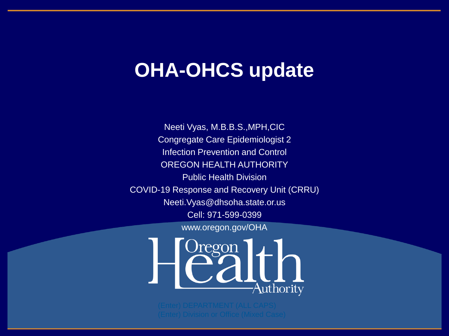#### **OHA-OHCS update**

Neeti Vyas, M.B.B.S.,MPH,CIC Congregate Care Epidemiologist 2 Infection Prevention and Control OREGON HEALTH AUTHORITY Public Health Division COVID-19 Response and Recovery Unit (CRRU) Neeti.Vyas@dhsoha.state.or.us Cell: 971-599-0399 www.oregon.gov/OHA

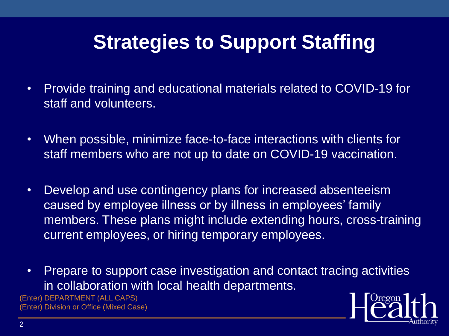### **Strategies to Support Staffing**

- Provide training and educational materials related to COVID-19 for staff and volunteers.
- When possible, minimize face-to-face interactions with clients for staff members who are not up to date on COVID-19 vaccination.
- Develop and use contingency plans for increased absenteeism caused by employee illness or by illness in employees' family members. These plans might include extending hours, cross-training current employees, or hiring temporary employees.
- Prepare to support case investigation and contact tracing activities in collaboration with local health departments.

(Enter) DEPARTMENT (ALL CAPS) (Enter) Division or Office (Mixed Case)

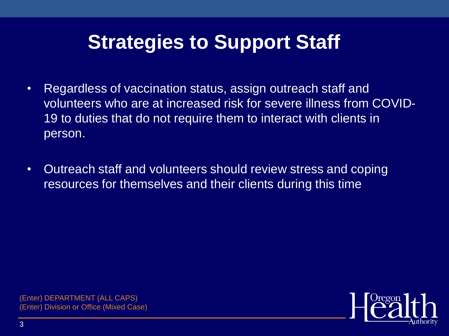#### **Strategies to Support Staff**

- Regardless of vaccination status, assign outreach staff and volunteers who are at increased risk for severe illness from COVID-19 to duties that do not require them to interact with clients in person.
- Outreach staff and volunteers should review stress and coping resources for themselves and their clients during this time

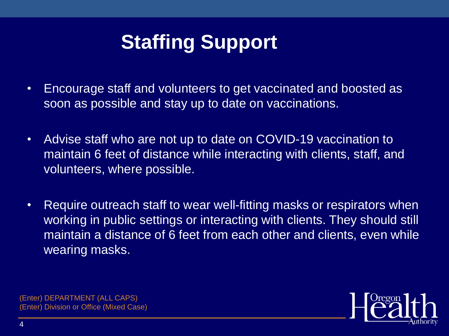## **Staffing Support**

- Encourage staff and volunteers to get vaccinated and boosted as soon as possible and stay up to date on vaccinations.
- Advise staff who are not up to date on COVID-19 vaccination to maintain 6 feet of distance while interacting with clients, staff, and volunteers, where possible.
- Require outreach staff to wear well-fitting masks or respirators when working in public settings or interacting with clients. They should still maintain a distance of 6 feet from each other and clients, even while wearing masks.

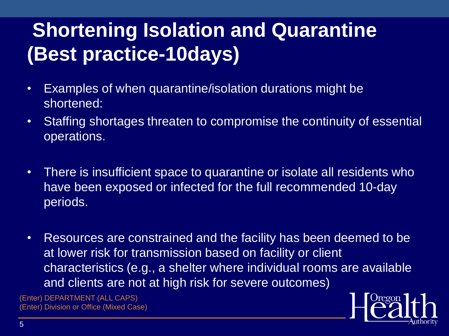# **Shortening Isolation and Quarantine (Best practice-10days)**

- Examples of when quarantine/isolation durations might be shortened:
- Staffing shortages threaten to compromise the continuity of essential operations.
- There is insufficient space to quarantine or isolate all residents who have been exposed or infected for the full recommended 10-day periods.
- Resources are constrained and the facility has been deemed to be at lower risk for transmission based on facility or client characteristics (e.g., a shelter where individual rooms are available and clients are not at high risk for severe outcomes)

(Enter) DEPARTMENT (ALL CAPS) (Enter) Division or Office (Mixed Case)

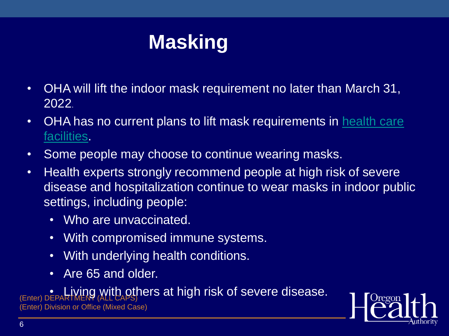## **Masking**

- OHA will lift the indoor mask requirement no later than March 31, 2022.
- [OHA has no current plans to lift mask requirements in health care](https://secure.sos.state.or.us/oard/viewSingleRule.action?ruleVrsnRsn=286317)  facilities.
- Some people may choose to continue wearing masks.
- Health experts strongly recommend people at high risk of severe disease and hospitalization continue to wear masks in indoor public settings, including people:
	- Who are unvaccinated.
	- With compromised immune systems.
	- With underlying health conditions.
	- Are 65 and older.

**Enter) DEPARTMENT (ALL CAPS)** CONCIS at high risk of severe disease. (Enter) Division or Office (Mixed Case)

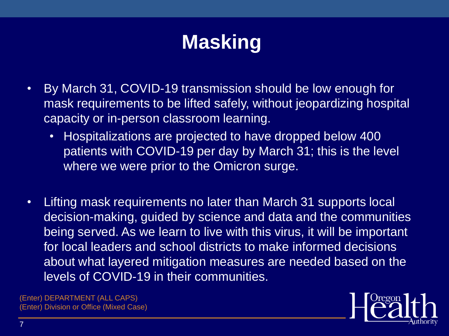## **Masking**

- By March 31, COVID-19 transmission should be low enough for mask requirements to be lifted safely, without jeopardizing hospital capacity or in-person classroom learning.
	- Hospitalizations are projected to have dropped below 400 patients with COVID-19 per day by March 31; this is the level where we were prior to the Omicron surge.
- Lifting mask requirements no later than March 31 supports local decision-making, guided by science and data and the communities being served. As we learn to live with this virus, it will be important for local leaders and school districts to make informed decisions about what layered mitigation measures are needed based on the levels of COVID-19 in their communities.

(Enter) DEPARTMENT (ALL CAPS) (Enter) Division or Office (Mixed Case)